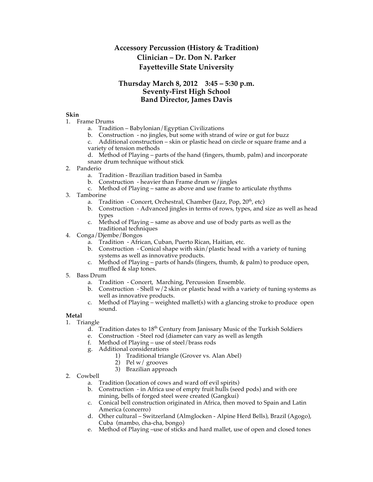# **Accessory Percussion (History & Tradition) Clinician – Dr. Don N. Parker Fayetteville State University**

### **Thursday March 8, 2012 3:45 – 5:30 p.m. Seventy-First High School Band Director, James Davis**

#### **Skin**

- 1. Frame Drums
	- a. Tradition Babylonian/Egyptian Civilizations
	- b. Construction no jingles, but some with strand of wire or gut for buzz

c. Additional construction – skin or plastic head on circle or square frame and a variety of tension methods

- d. Method of Playing parts of the hand (fingers, thumb, palm) and incorporate snare drum technique without stick
- 2. Panderio
	- a. Tradition Brazilian tradition based in Samba
	- b. Construction heavier than Frame drum  $w$ /jingles
	- c. Method of Playing same as above and use frame to articulate rhythms
- 3. Tamborine
	- a. Tradition Concert, Orchestral, Chamber (Jazz, Pop,  $20<sup>th</sup>$ , etc)
	- b. Construction Advanced jingles in terms of rows, types, and size as well as head types
	- c. Method of Playing same as above and use of body parts as well as the traditional techniques
- 4. Conga/Djembe/Bongos
	- a. Tradition African, Cuban, Puerto Rican, Haitian, etc.
	- b. Construction Conical shape with skin/plastic head with a variety of tuning systems as well as innovative products.
	- c. Method of Playing parts of hands (fingers, thumb, & palm) to produce open, muffled & slap tones.
- 5. Bass Drum
	- a. Tradition Concert, Marching, Percussion Ensemble.
	- b. Construction Shell  $w/2$  skin or plastic head with a variety of tuning systems as well as innovative products.
	- c. Method of Playing weighted mallet(s) with a glancing stroke to produce open sound.

#### **Metal**

- 1. Triangle
	- d. Tradition dates to  $18<sup>th</sup>$  Century from Janissary Music of the Turkish Soldiers
	- e. Construction Steel rod (diameter can vary as well as length
	- f. Method of Playing use of steel/brass rods
	- g. Additional considerations
		- 1) Traditional triangle (Grover vs. Alan Abel)
		- 2) Pel w/ grooves
		- 3) Brazilian approach
- 2. Cowbell
	- a. Tradition (location of cows and ward off evil spirits)
	- b. Construction in Africa use of empty fruit hulls (seed pods) and with ore mining, bells of forged steel were created (Gangkui)
	- c. Conical bell construction originated in Africa, then moved to Spain and Latin America (concerro)
	- d. Other cultural Switzerland (Almglocken Alpine Herd Bells), Brazil (Agogo), Cuba (mambo, cha-cha, bongo)
	- e. Method of Playing –use of sticks and hard mallet, use of open and closed tones